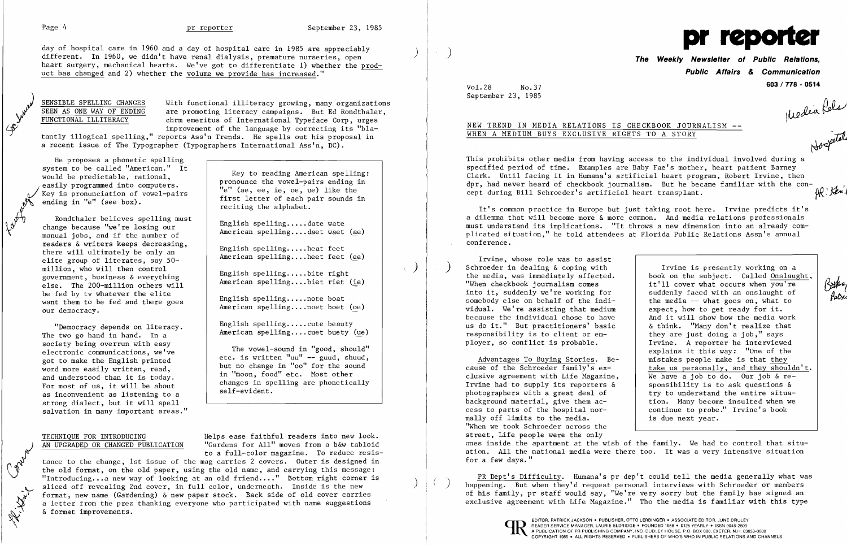1 februar

**Contract** 

Rondthaler believes spelling must change because "we're losing our manual jobs, and if the number of readers & writers keeps decreasing, there will ultimately be only an elite group of literates, say 50 million, who will then control government, business & everything else. The 200-million others will be fed by tv whatever the elite want them to be fed and there goes our democracy.

tantly illogical spelling," reports Ass'n Trends. He spells out his proposal in a recent issue of The Typographer (Typographers International Ass'n, DC).

He proposes a phonetic spelling system to be called "American." It would be predictable, rational, . easily programmed into computers. Key is pronunciation of vowel-pairs ending in "e" (see box).

TECHNIQUE FOR INTRODUCING<br>
AN UPGRADED OR CHANGED PUBLICATION "Gardens for All" moves from a b&w tabloid "Gardens for All" moves from a b&w tabloid to a full-color magazine. To reduce resis-

tance to the change, 1st issue of the mag carries 2 covers. Outer is designed in<br>the old format, on the old paper, using the old name, and carrying this message: "Introducing...a new way of looking at an old friend...." Bottom right corner is sliced off revealing 2nd cover, in full color, underneath. Inside is the new format, new name (Gardening)  $\&$  new paper stock. Back side of old cover carries a letter from the prez thanking everyone who participated with name suggestions ~~ & format improvements.

 $\times$   $\times$ \.

day of hospital care in 1960 and a day of hospital care in 1985 are appreciably different. In 1960, we didn't have renal dialysis, premature nurseries, open heart surgery, mechanical hearts. We've got to differentiate 1) whether the product has changed and 2) whether the volume we provide has increased."

SENSIBLE SPELLING CHANGES With functional illiteracy growing, many organizations<br>
SEEN AS ONE WAY OF ENDING<br>
FUNCTIONAL ILLITERACY<br>
TERMING THE SPELLING CHANGES<br>
TERMING THE SPEN AS ONE WAY OF ENDING<br>
TERMING THE SPEN AS O are promoting literacy campaigns. But Ed Rondthaler, chrm emeritus of International Typeface Corp, urges improvement of the language by correcting its "bla-

"Democracy depends on literacy. The two go hand in hand. In a society being overrun with easy electronic communications, we've got to make the English printed word more easily written, read, and understood than it is today. For most of us, it will be about as inconvenient as listening to a strong dialect, but it will spell salvation in many important areas."

This prohibits other media from having access to the individual involved during a specified period of time. Examples are Baby Fae's mother, heart patient Barney Clark. Until facing it in Humana's artificial heart program, Robert Irvine, then dpr, had never heard of checkbook journalism. But he became familiar with the con-<br>cept during Bill Schroeder's artificial heart transplant. cept during Bill Schroeder's artificial heart transplant.

Key to reading American spelling: pronounce the vowel-pairs ending in "e" (ae, ee, ie, oe, ue) like the first letter of each pair sounds in reciting the alphabet.

English spelling.....date wate American spelling....daet waet (ae)

English spelling..... heat feet American spelling.... heet feet (ee)

English spelling.....bite right American spelling....biet riet (ie)

English spelling..... note boat  $American$  spelling.... noet boet (oe)

English spelling.....cute beauty American spelling....cuet buety ( $ue$ )

Irvine, whose role was to assist Schroeder in dealing & coping with the media, was immediately affected. "When checkbook journalism comes into it, suddenly we're working for somebody else on behalf of the individual. We're assisting that medium because the individual chose to have us do it." But practitioners' basic responsibility is to client or employer, so conflict is probable.

The vowel-sound in "good, should" etc. is written "uu" -- guud, shuud, but no change in "00" for the sound in "moon, food" etc. Most other changes in spelling are phoneticallY self-evident.

Irvine is presently working on a book on the subject. Called Onslaught, book on the subject. Called <u>Onsiaup</u><br>it'll cover what occurs when you're suddenly faced with an onslaught of ~t*ftd>,v.* the media -- what goes on, what to expect, how to get ready for it. And it will show how the media work & think. "Many don't realize that they are just doing a job," says Irvine. A reporter he interviewed explains it this way: "One of the mistakes people make is that they take us personally, and they shouldn't.



Vol.28 No.37 September 23, 1985 **Public Affairs** *&* **Communication 603 / 778 - 0514** 

 $\left( \right)$ 

 $\mathcal{L}_\text{M2}$  and  $\mathcal{L}_\text{M2}$ 

Hospitals

# NEW TREND IN MEDIA RELATIONS IS CHECKBOOK JOURNALISM WHEN A MEDIUM BUYS EXCLUSIVE RIGHTS TO A STORY

It's common practice in Europe but just taking root here. Irvine predicts it's a dilemma that will become more & more common. And media relations professionals must understand its implications. "It throws a new dimension into an already complicated situation," he told attendees at Florida Public Relations Assn's annual conference.

Advantages To Buying Stories. Because of the Schroeder family's exclusive agreement with Life Magazine, Irvine had to supply its reporters & photographers with a great deal of background material, give them access to parts of the hospital normally off limits to the media. "When we took Schroeder across the street, Life people were the only We have a job to do. Our job & responsibility is to ask questions & try to understand the entire situation. Many become insulted when we continue to probe." Irvine's book is due next year. ones inside the apartment at the wish of the family. We had to control that situation. All the national media were there too. It was a very intensive situation for a few days."

PR Dept's Difficulty. Humana's pr dep't could tell the media generally what was happening. But when they'd request personal interviews with Schroeder or members of his family, pr staff would say, "We're very sorry but the family has signed an exclusive agreement with Life Magazine." Tho the media is familiar with this type